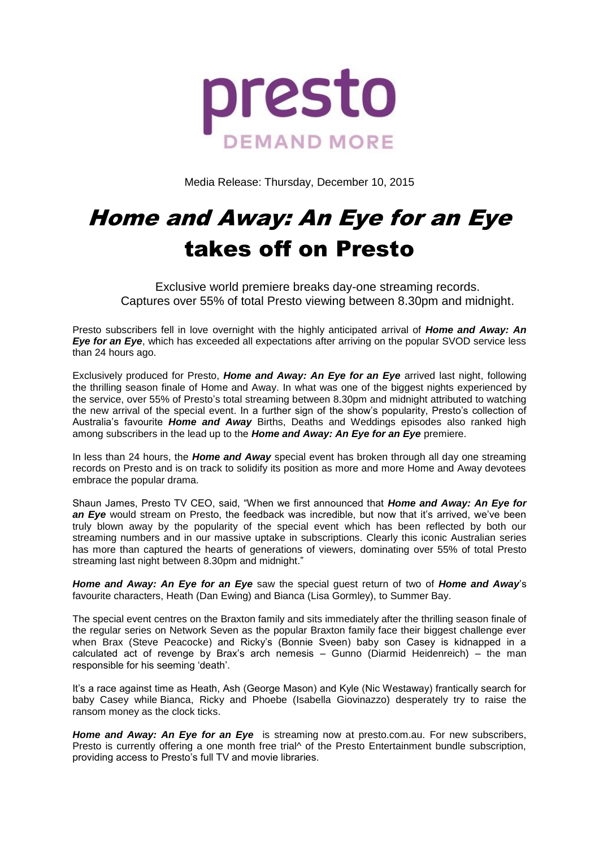

Media Release: Thursday, December 10, 2015

# Home and Away: An Eye for an Eye takes off on Presto

Exclusive world premiere breaks day-one streaming records. Captures over 55% of total Presto viewing between 8.30pm and midnight.

Presto subscribers fell in love overnight with the highly anticipated arrival of *Home and Away: An Eye for an Eye,* which has exceeded all expectations after arriving on the popular SVOD service less than 24 hours ago.

Exclusively produced for Presto, *Home and Away: An Eye for an Eye* arrived last night, following the thrilling season finale of Home and Away. In what was one of the biggest nights experienced by the service, over 55% of Presto's total streaming between 8.30pm and midnight attributed to watching the new arrival of the special event. In a further sign of the show's popularity, Presto's collection of Australia's favourite *Home and Away* Births, Deaths and Weddings episodes also ranked high among subscribers in the lead up to the *Home and Away: An Eye for an Eye* premiere.

In less than 24 hours, the *Home and Away* special event has broken through all day one streaming records on Presto and is on track to solidify its position as more and more Home and Away devotees embrace the popular drama.

Shaun James, Presto TV CEO, said, "When we first announced that *Home and Away: An Eye for an Eye* would stream on Presto, the feedback was incredible, but now that it's arrived, we've been truly blown away by the popularity of the special event which has been reflected by both our streaming numbers and in our massive uptake in subscriptions. Clearly this iconic Australian series has more than captured the hearts of generations of viewers, dominating over 55% of total Presto streaming last night between 8.30pm and midnight."

*Home and Away: An Eye for an Eye* saw the special guest return of two of *Home and Away*'s favourite characters, Heath (Dan Ewing) and Bianca (Lisa Gormley), to Summer Bay.

The special event centres on the Braxton family and sits immediately after the thrilling season finale of the regular series on Network Seven as the popular Braxton family face their biggest challenge ever when Brax (Steve Peacocke) and Ricky's (Bonnie Sveen) baby son Casey is kidnapped in a calculated act of revenge by Brax's arch nemesis – Gunno (Diarmid Heidenreich) – the man responsible for his seeming 'death'.

It's a race against time as Heath, Ash (George Mason) and Kyle (Nic Westaway) frantically search for baby Casey while Bianca, Ricky and Phoebe (Isabella Giovinazzo) desperately try to raise the ransom money as the clock ticks.

*Home and Away: An Eye for an Eye* is streaming now at presto.com.au. For new subscribers, Presto is currently offering a one month free trial<sup>A</sup> of the Presto Entertainment bundle subscription, providing access to Presto's full TV and movie libraries.